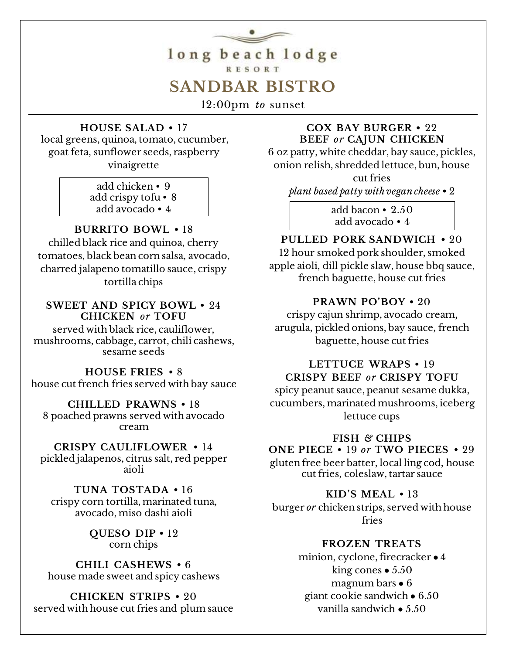

12:00pm *to* sunset

**HOUSE SALAD •** 17 local greens, quinoa, tomato, cucumber, goat feta, sunflower seeds, raspberry

vinaigrette

add chicken • 9 add crispy tofu • 8 add avocado • 4  $\qquad \qquad$  add bacon • 2.50

### **BURRITO BOWL •** 18

chilled black rice and quinoa, cherry tomatoes, black bean corn salsa, avocado, charred jalapeno tomatillo sauce, crispy tortilla chips

### **SWEET AND SPICY BOWL •** 24 **CHICKEN** *or* **TOFU**

served with black rice, cauliflower, mushrooms, cabbage, carrot, chili cashews, sesame seeds

**HOUSE FRIES •** 8 house cut french fries served with bay sauce

**CHILLED PRAWNS •** 18 8 poached prawns served with avocado cream

**CRISPY CAULIFLOWER •** 14 pickled jalapenos, citrus salt, red pepper aioli

**TUNA TOSTADA •** 16 crispy corn tortilla, marinated tuna, avocado, miso dashi aioli

> **QUESO DIP •** 12 corn chips

**CHILI CASHEWS •** 6 house made sweet and spicy cashews

**CHICKEN STRIPS •** 20 served with house cut fries and plum sauce

#### **COX BAY BURGER •** 22 **BEEF** *or* **CAJUN CHICKEN**

6 oz patty, white cheddar, bay sauce, pickles, onion relish, shredded lettuce, bun, house

cut fries

*plant based patty with vegan cheese* **•** 2

add avocado • 4

**PULLED PORK SANDWICH •** 20 12 hour smoked pork shoulder, smoked apple aioli, dill pickle slaw, house bbq sauce, french baguette, house cut fries

# **PRAWN PO'BOY •** 20

crispy cajun shrimp, avocado cream, arugula, pickled onions, bay sauce, french baguette, house cut fries

# **LETTUCE WRAPS •** 19 **CRISPY BEEF** *or* **CRISPY TOFU**

spicy peanut sauce, peanut sesame dukka, cucumbers, marinated mushrooms, iceberg lettuce cups

# **FISH** *&* **CHIPS**

**ONE PIECE •** 19 *or* **TWO PIECES •** 29 gluten free beer batter, local ling cod, house cut fries, coleslaw, tartar sauce

**KID'S MEAL •** 13

burger *or* chicken strips, served with house fries

#### **FROZEN TREATS**

minion, cyclone, firecracker ● 4 king cones  $\bullet$  5.50 magnum bars ● 6 giant cookie sandwich ● 6.50 vanilla sandwich ● 5.50